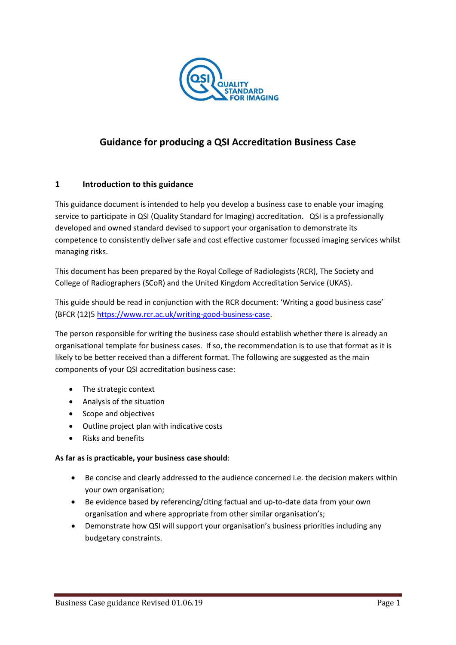

# **Guidance for producing a QSI Accreditation Business Case**

### **1 Introduction to this guidance**

This guidance document is intended to help you develop a business case to enable your imaging service to participate in QSI (Quality Standard for Imaging) accreditation. QSI is a professionally developed and owned standard devised to support your organisation to demonstrate its competence to consistently deliver safe and cost effective customer focussed imaging services whilst managing risks.

This document has been prepared by the Royal College of Radiologists (RCR), The Society and College of Radiographers (SCoR) and the United Kingdom Accreditation Service (UKAS).

This guide should be read in conjunction with the RCR document: 'Writing a good business case' (BFCR (12)[5 https://www.rcr.ac.uk/writing-good-business-case.](https://www.rcr.ac.uk/writing-good-business-case)

The person responsible for writing the business case should establish whether there is already an organisational template for business cases. If so, the recommendation is to use that format as it is likely to be better received than a different format. The following are suggested as the main components of your QSI accreditation business case:

- The strategic context
- Analysis of the situation
- Scope and objectives
- Outline project plan with indicative costs
- Risks and benefits

#### **As far as is practicable, your business case should**:

- Be concise and clearly addressed to the audience concerned i.e. the decision makers within your own organisation;
- Be evidence based by referencing/citing factual and up-to-date data from your own organisation and where appropriate from other similar organisation's;
- Demonstrate how QSI will support your organisation's business priorities including any budgetary constraints.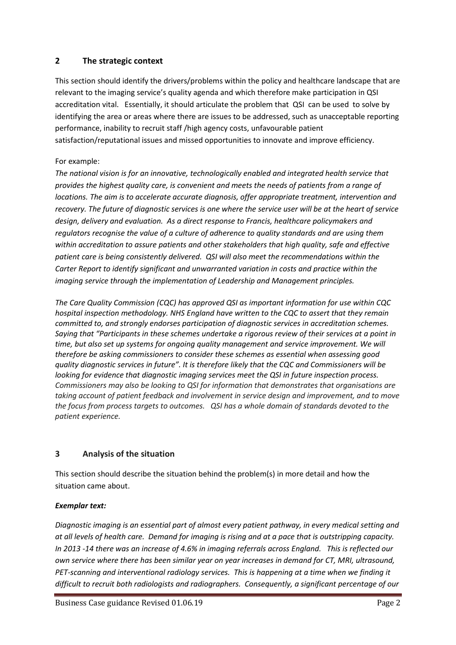## **2 The strategic context**

This section should identify the drivers/problems within the policy and healthcare landscape that are relevant to the imaging service's quality agenda and which therefore make participation in QSI accreditation vital. Essentially, it should articulate the problem that QSI can be used to solve by identifying the area or areas where there are issues to be addressed, such as unacceptable reporting performance, inability to recruit staff /high agency costs, unfavourable patient satisfaction/reputational issues and missed opportunities to innovate and improve efficiency.

### For example:

*The national vision is for an innovative, technologically enabled and integrated health service that provides the highest quality care, is convenient and meets the needs of patients from a range of locations. The aim is to accelerate accurate diagnosis, offer appropriate treatment, intervention and recovery. The future of diagnostic services is one where the service user will be at the heart of service design, delivery and evaluation. As a direct response to Francis, healthcare policymakers and regulators recognise the value of a culture of adherence to quality standards and are using them within accreditation to assure patients and other stakeholders that high quality, safe and effective patient care is being consistently delivered. QSI will also meet the recommendations within the Carter Report to identify significant and unwarranted variation in costs and practice within the imaging service through the implementation of Leadership and Management principles.* 

*The Care Quality Commission (CQC) has approved QSI as important information for use within CQC hospital inspection methodology. NHS England have written to the CQC to assert that they remain committed to, and strongly endorses participation of diagnostic services in accreditation schemes. Saying that "Participants in these schemes undertake a rigorous review of their services at a point in time, but also set up systems for ongoing quality management and service improvement. We will therefore be asking commissioners to consider these schemes as essential when assessing good quality diagnostic services in future". It is therefore likely that the CQC and Commissioners will be looking for evidence that diagnostic imaging services meet the QSI in future inspection process. Commissioners may also be looking to QSI for information that demonstrates that organisations are taking account of patient feedback and involvement in service design and improvement, and to move the focus from process targets to outcomes. QSI has a whole domain of standards devoted to the patient experience.*

# **3 Analysis of the situation**

This section should describe the situation behind the problem(s) in more detail and how the situation came about.

### *Exemplar text:*

*Diagnostic imaging is an essential part of almost every patient pathway, in every medical setting and at all levels of health care. Demand for imaging is rising and at a pace that is outstripping capacity. In 2013 -14 there was an increase of 4.6% in imaging referrals across England. This is reflected our own service where there has been similar year on year increases in demand for CT, MRI, ultrasound, PET-scanning and interventional radiology services. This is happening at a time when we finding it difficult to recruit both radiologists and radiographers. Consequently, a significant percentage of our*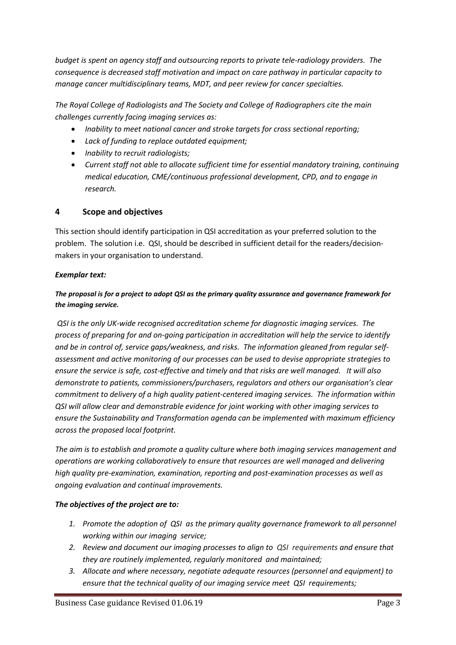*budget is spent on agency staff and outsourcing reports to private tele-radiology providers. The consequence is decreased staff motivation and impact on care pathway in particular capacity to manage cancer multidisciplinary teams, MDT, and peer review for cancer specialties.* 

*The Royal College of Radiologists and The Society and College of Radiographers cite the main challenges currently facing imaging services as:*

- *Inability to meet national cancer and stroke targets for cross sectional reporting;*
- *Lack of funding to replace outdated equipment;*
- *Inability to recruit radiologists;*
- *Current staff not able to allocate sufficient time for essential mandatory training, continuing medical education, CME/continuous professional development, CPD, and to engage in research.*

# **4 Scope and objectives**

This section should identify participation in QSI accreditation as your preferred solution to the problem. The solution i.e. QSI, should be described in sufficient detail for the readers/decisionmakers in your organisation to understand.

### *Exemplar text:*

# *The proposal is for a project to adopt QSI as the primary quality assurance and governance framework for the imaging service.*

*QSI is the only UK-wide recognised accreditation scheme for diagnostic imaging services. The process of preparing for and on-going participation in accreditation will help the service to identify and be in control of, service gaps/weakness, and risks. The information gleaned from regular selfassessment and active monitoring of our processes can be used to devise appropriate strategies to ensure the service is safe, cost-effective and timely and that risks are well managed. It will also demonstrate to patients, commissioners/purchasers, regulators and others our organisation's clear commitment to delivery of a high quality patient-centered imaging services. The information within QSI will allow clear and demonstrable evidence for joint working with other imaging services to ensure the Sustainability and Transformation agenda can be implemented with maximum efficiency across the proposed local footprint.*

*The aim is to establish and promote a quality culture where both imaging services management and operations are working collaboratively to ensure that resources are well managed and delivering high quality pre-examination, examination, reporting and post-examination processes as well as ongoing evaluation and continual improvements.*

### *The objectives of the project are to:*

- *1. Promote the adoption of QSI as the primary quality governance framework to all personnel working within our imaging service;*
- *2. Review and document our imaging processes to align to QSI requirements and ensure that they are routinely implemented, regularly monitored and maintained;*
- *3. Allocate and where necessary, negotiate adequate resources (personnel and equipment) to ensure that the technical quality of our imaging service meet QSI requirements;*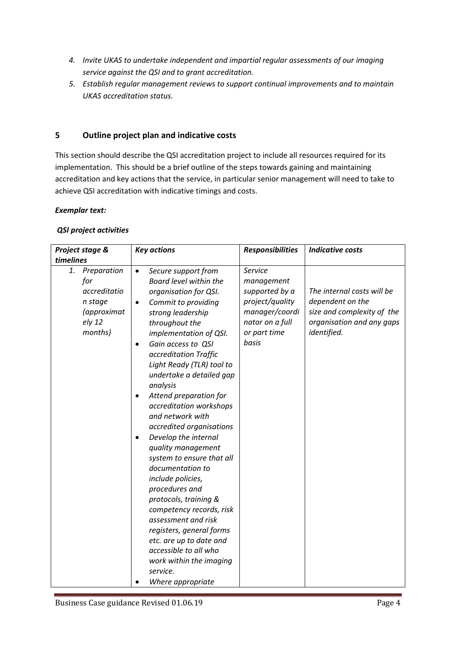- *4. Invite UKAS to undertake independent and impartial regular assessments of our imaging service against the QSI and to grant accreditation.*
- *5. Establish regular management reviews to support continual improvements and to maintain UKAS accreditation status.*

## **5 Outline project plan and indicative costs**

This section should describe the QSI accreditation project to include all resources required for its implementation. This should be a brief outline of the steps towards gaining and maintaining accreditation and key actions that the service, in particular senior management will need to take to achieve QSI accreditation with indicative timings and costs.

#### *Exemplar text:*

#### *QSI project activities*

| Project stage & |                                                                                   | <b>Key actions</b>                                                                                                                                                                                                                                                                                                                                                                                                                                                                                                                                                                                                                                                                                                                                                                | <b>Responsibilities</b>                                                                                                  | <b>Indicative costs</b>                                                                                                  |
|-----------------|-----------------------------------------------------------------------------------|-----------------------------------------------------------------------------------------------------------------------------------------------------------------------------------------------------------------------------------------------------------------------------------------------------------------------------------------------------------------------------------------------------------------------------------------------------------------------------------------------------------------------------------------------------------------------------------------------------------------------------------------------------------------------------------------------------------------------------------------------------------------------------------|--------------------------------------------------------------------------------------------------------------------------|--------------------------------------------------------------------------------------------------------------------------|
| timelines       |                                                                                   |                                                                                                                                                                                                                                                                                                                                                                                                                                                                                                                                                                                                                                                                                                                                                                                   |                                                                                                                          |                                                                                                                          |
| 1.              | Preparation<br>for<br>accreditatio<br>n stage<br>(approximat<br>ely 12<br>months) | Secure support from<br>$\bullet$<br>Board level within the<br>organisation for QSI.<br>Commit to providing<br>٠<br>strong leadership<br>throughout the<br>implementation of QSI.<br>Gain access to QSI<br>٠<br>accreditation Traffic<br>Light Ready (TLR) tool to<br>undertake a detailed gap<br>analysis<br>Attend preparation for<br>٠<br>accreditation workshops<br>and network with<br>accredited organisations<br>Develop the internal<br>quality management<br>system to ensure that all<br>documentation to<br>include policies,<br>procedures and<br>protocols, training &<br>competency records, risk<br>assessment and risk<br>registers, general forms<br>etc. are up to date and<br>accessible to all who<br>work within the imaging<br>service.<br>Where appropriate | Service<br>management<br>supported by a<br>project/quality<br>manager/coordi<br>nator on a full<br>or part time<br>basis | The internal costs will be<br>dependent on the<br>size and complexity of the<br>organisation and any gaps<br>identified. |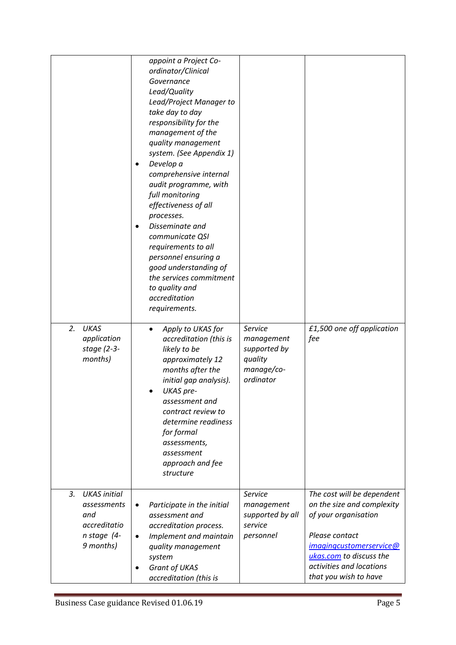| <b>UKAS</b><br>2.<br>application<br>stage (2-3-<br>months)                                  | appoint a Project Co-<br>ordinator/Clinical<br>Governance<br>Lead/Quality<br>Lead/Project Manager to<br>take day to day<br>responsibility for the<br>management of the<br>quality management<br>system. (See Appendix 1)<br>Develop a<br>comprehensive internal<br>audit programme, with<br>full monitoring<br>effectiveness of all<br>processes.<br>Disseminate and<br>communicate QSI<br>requirements to all<br>personnel ensuring a<br>good understanding of<br>the services commitment<br>to quality and<br>accreditation<br>requirements.<br>Apply to UKAS for<br>$\bullet$<br>accreditation (this is<br>likely to be<br>approximately 12<br>months after the<br>initial gap analysis).<br>UKAS pre-<br>assessment and<br>contract review to<br>determine readiness<br>for formal<br>assessments,<br>assessment<br>approach and fee<br>structure | Service<br>management<br>supported by<br>quality<br>manage/co-<br>ordinator | £1,500 one off application<br>fee                                                                                                                                                                             |
|---------------------------------------------------------------------------------------------|-------------------------------------------------------------------------------------------------------------------------------------------------------------------------------------------------------------------------------------------------------------------------------------------------------------------------------------------------------------------------------------------------------------------------------------------------------------------------------------------------------------------------------------------------------------------------------------------------------------------------------------------------------------------------------------------------------------------------------------------------------------------------------------------------------------------------------------------------------|-----------------------------------------------------------------------------|---------------------------------------------------------------------------------------------------------------------------------------------------------------------------------------------------------------|
| 3.<br><b>UKAS</b> initial<br>assessments<br>and<br>accreditatio<br>n stage (4-<br>9 months) | Participate in the initial<br>٠<br>assessment and<br>accreditation process.<br>Implement and maintain<br>٠<br>quality management<br>system<br>Grant of UKAS<br>accreditation (this is                                                                                                                                                                                                                                                                                                                                                                                                                                                                                                                                                                                                                                                                 | Service<br>management<br>supported by all<br>service<br>personnel           | The cost will be dependent<br>on the size and complexity<br>of your organisation<br>Please contact<br>imagingcustomerservice@<br>ukas.com to discuss the<br>activities and locations<br>that you wish to have |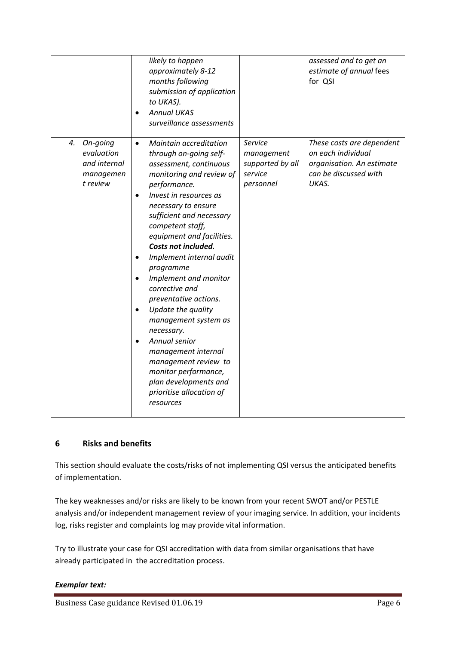|                                                                       | likely to happen<br>approximately 8-12<br>months following<br>submission of application<br>to UKAS).<br><b>Annual UKAS</b><br>surveillance assessments                                                                                                                                                                                                                                                                                                                                                                                                                                                                      |                                                                   | assessed and to get an<br>estimate of annual fees<br>for QSI                                                   |
|-----------------------------------------------------------------------|-----------------------------------------------------------------------------------------------------------------------------------------------------------------------------------------------------------------------------------------------------------------------------------------------------------------------------------------------------------------------------------------------------------------------------------------------------------------------------------------------------------------------------------------------------------------------------------------------------------------------------|-------------------------------------------------------------------|----------------------------------------------------------------------------------------------------------------|
| 4.<br>On-going<br>evaluation<br>and internal<br>managemen<br>t review | Maintain accreditation<br>$\bullet$<br>through on-going self-<br>assessment, continuous<br>monitoring and review of<br>performance.<br>Invest in resources as<br>necessary to ensure<br>sufficient and necessary<br>competent staff,<br>equipment and facilities.<br>Costs not included.<br>Implement internal audit<br>programme<br>Implement and monitor<br>corrective and<br>preventative actions.<br>Update the quality<br>management system as<br>necessary.<br>Annual senior<br>management internal<br>management review to<br>monitor performance,<br>plan developments and<br>prioritise allocation of<br>resources | Service<br>management<br>supported by all<br>service<br>personnel | These costs are dependent<br>on each individual<br>organisation. An estimate<br>can be discussed with<br>UKAS. |

# **6 Risks and benefits**

This section should evaluate the costs/risks of not implementing QSI versus the anticipated benefits of implementation.

The key weaknesses and/or risks are likely to be known from your recent SWOT and/or PESTLE analysis and/or independent management review of your imaging service. In addition, your incidents log, risks register and complaints log may provide vital information.

Try to illustrate your case for QSI accreditation with data from similar organisations that have already participated in the accreditation process.

### *Exemplar text:*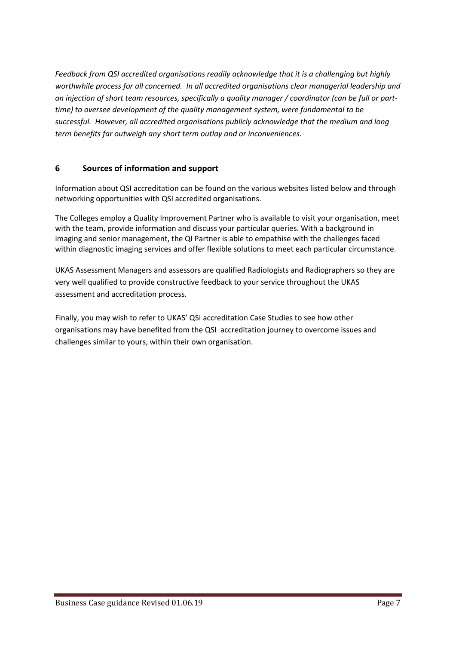*Feedback from QSI accredited organisations readily acknowledge that it is a challenging but highly worthwhile process for all concerned. In all accredited organisations clear managerial leadership and an injection of short team resources, specifically a quality manager / coordinator (can be full or parttime) to oversee development of the quality management system, were fundamental to be successful. However, all accredited organisations publicly acknowledge that the medium and long term benefits far outweigh any short term outlay and or inconveniences.* 

# **6 Sources of information and support**

Information about QSI accreditation can be found on the various websites listed below and through networking opportunities with QSI accredited organisations.

The Colleges employ a Quality Improvement Partner who is available to visit your organisation, meet with the team, provide information and discuss your particular queries. With a background in imaging and senior management, the QI Partner is able to empathise with the challenges faced within diagnostic imaging services and offer flexible solutions to meet each particular circumstance.

UKAS Assessment Managers and assessors are qualified Radiologists and Radiographers so they are very well qualified to provide constructive feedback to your service throughout the UKAS assessment and accreditation process.

Finally, you may wish to refer to UKAS' QSI accreditation Case Studies to see how other organisations may have benefited from the QSI accreditation journey to overcome issues and challenges similar to yours, within their own organisation.